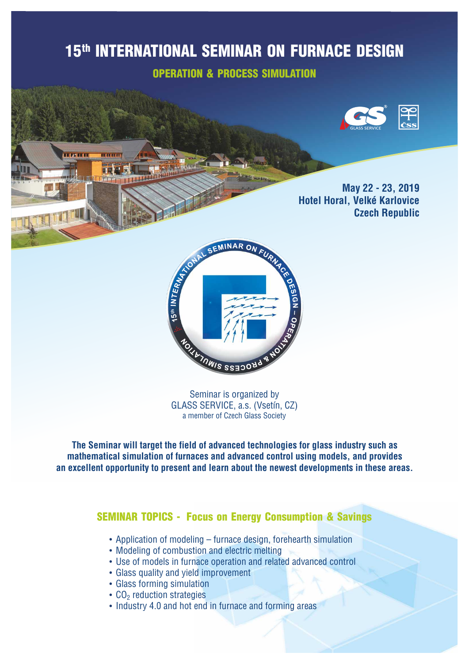# 15<sup>th</sup> INTERNATIONAL SEMINAR ON FURNACE DESIGN

OPERATION & PROCESS SIMULATION



**May 22 - 23, 2019 Hotel Horal, Velké Karlovice Czech Republic**



Seminar is organized by GLASS SERVICE, a.s. (Vsetín, CZ) a member of Czech Glass Society

**The Seminar will target the field of advanced technologies for glass industry such as mathematical simulation of furnaces and advanced control using models, and provides an excellent opportunity to present and learn about the newest developments in these areas.**

### **SEMINAR TOPICS - Focus on Energy Consumption & Savings**

- Application of modeling furnace design, forehearth simulation
- Modeling of combustion and electric melting
- Use of models in furnace operation and related advanced control
- Glass quality and yield improvement
- Glass forming simulation

n an D

- $\cdot$  CO<sub>2</sub> reduction strategies
- Industry 4.0 and hot end in furnace and forming areas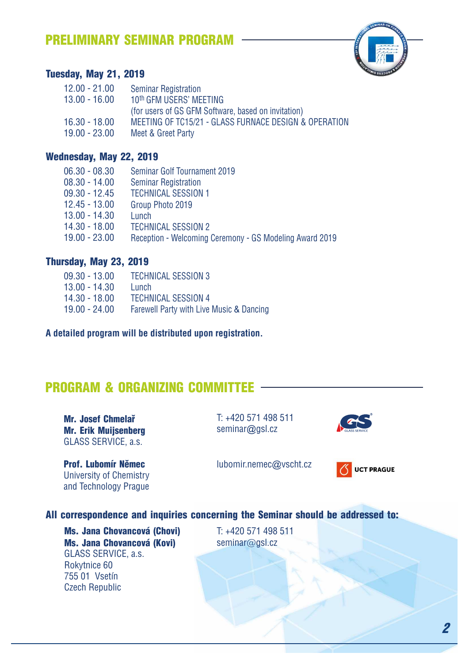### PRELIMINARY SEMINAR PROGRAM



### Tuesday, May 21, 2019

| $12.00 - 21.00$ | <b>Seminar Registration</b>                           |
|-----------------|-------------------------------------------------------|
| $13.00 - 16.00$ | 10th GFM USERS' MEETING                               |
|                 | (for users of GS GFM Software, based on invitation)   |
| $16.30 - 18.00$ | MEETING OF TC15/21 - GLASS FURNACE DESIGN & OPERATION |
| $19.00 - 23.00$ | Meet & Greet Party                                    |

#### Wednesday, May 22, 2019

| <b>Seminar Golf Tournament 2019</b>                     |
|---------------------------------------------------------|
| <b>Seminar Registration</b>                             |
| <b>TECHNICAL SESSION 1</b>                              |
| Group Photo 2019                                        |
| Lunch                                                   |
| <b>TECHNICAL SESSION 2</b>                              |
| Reception - Welcoming Ceremony - GS Modeling Award 2019 |
|                                                         |

#### Thursday, May 23, 2019

| $09.30 - 13.00$ | <b>TECHNICAL SESSION 3</b>               |
|-----------------|------------------------------------------|
| $13.00 - 14.30$ | Lunch                                    |
| $14.30 - 18.00$ | <b>TECHNICAL SESSION 4</b>               |
| $19.00 - 24.00$ | Farewell Party with Live Music & Dancing |

**A detailed program will be distributed upon registration.** 

### PROGRAM & ORGANIZING COMMITTEE

Mr. Josef Chmelař Mr. Erik Muijsenberg GLASS SERVICE, a.s.

Prof. Lubomír Němec University of Chemistry and Technology Prague

T: +420 571 498 511 seminar@gsl.cz



lubomir.nemec@vscht.cz



#### All correspondence and inquiries concerning the Seminar should be addressed to:

Ms. Jana Chovancová (Chovi) Ms. Jana Chovancová (Kovi) GLASS SERVICE, a.s. Rokytnice 60 755 01 Vsetín Czech Republic

T: +420 571 498 511 seminar@gsl.cz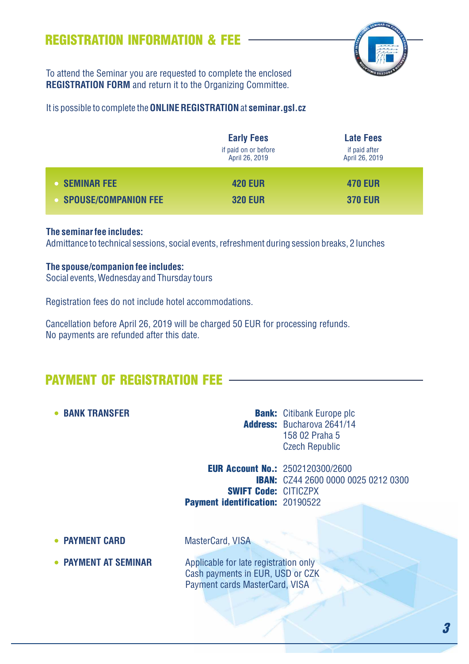### REGISTRATION INFORMATION & FEE



To attend the Seminar you are requested to complete the enclosed **REGISTRATION FORM** and return it to the Organizing Committee.

It is possible to complete the **ONLINE REGISTRATION**at **seminar.gsl.cz**

|                             | <b>Early Fees</b><br>if paid on or before<br>April 26, 2019 | <b>Late Fees</b><br>if paid after<br>April 26, 2019 |
|-----------------------------|-------------------------------------------------------------|-----------------------------------------------------|
| <b>SEMINAR FEE</b>          | <b>420 EUR</b>                                              | <b>470 EUR</b>                                      |
| <b>SPOUSE/COMPANION FEE</b> | <b>320 EUR</b>                                              | <b>370 EUR</b>                                      |

#### **The seminar fee includes:**

Admittance to technical sessions, social events, refreshment during session breaks, 2 lunches

#### **The spouse/companion fee includes:**

Social events, Wednesday and Thursday tours

Registration fees do not include hotel accommodations.

Cancellation before April 26, 2019 will be charged 50 EUR for processing refunds. No payments are refunded after this date.

### PAYMENT OF REGISTRATION FEE

**• BANK TRANSFER** 

**Bank:** Citibank Europe plc Address: Bucharova 2641/14 158 02 Praha 5 Czech Republic

**EUR Account No.: 2502120300/2600 IBAN:** CZ44 2600 0000 0025 0212 0300 SWIFT Code: CITICZPX Payment identification: 20190522

**• PAYMENT CARD** MasterCard, VISA

• **PAYMENT AT SEMINAR** Applicable for late registration only Cash payments in EUR, USD or CZK Payment cards MasterCard, VISA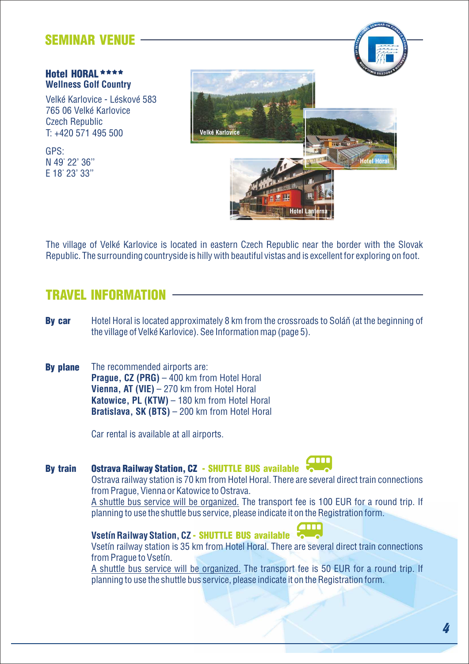### SEMINAR VENUE

#### Hotel HORAL \*\*\*\* **Wellness Golf Country**

Velké Karlovice - Léskové 583 765 06 Velké Karlovice Czech Republic T: +420 571 495 500

GPS: N 49° 22' 36'' E 18° 23' 33''



The village of Velké Karlovice is located in eastern Czech Republic near the border with the Slovak Republic. The surrounding countryside is hilly with beautiful vistas and is excellent for exploring on foot.

### TRAVEL INFORMATION

- Hotel Horal is located approximately 8 km from the crossroads to Soláň (at the beginning of the village of Velké Karlovice). See Information map (page 5). By car
- The recommended airports are: **Prague, CZ (PRG)** – 400 km from Hotel Horal **Vienna, AT (VIE)** – 270 km from Hotel Horal **Katowice, PL (KTW)** – 180 km from Hotel Horal **Bratislava, SK (BTS)** – 200 km from Hotel Horal By plane

Car rental is available at all airports.

#### Ostrava Railway Station, CZ - SHUTTLE BUS available By train

Ostrava railway station is 70 km from Hotel Horal. There are several direct train connections from Prague, Vienna or Katowice to Ostrava.

A shuttle bus service will be organized. The transport fee is 100 EUR for a round trip. If planning to use the shuttle bus service, please indicate it on the Registration form.

### **Vsetín Railway Station, CZ** - SHUTTLE BUS available

Vsetín railway station is 35 km from Hotel Horal. There are several direct train connections from Prague to Vsetín.

A shuttle bus service will be organized. The transport fee is 50 EUR for a round trip. If planning to use the shuttle bus service, please indicate it on the Registration form.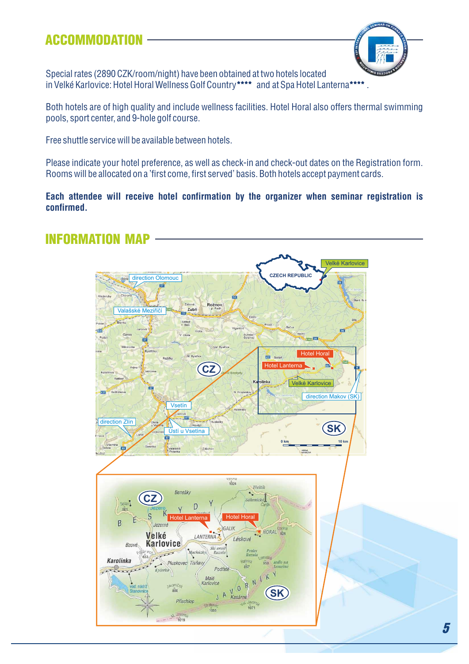### ACCOMMODATION



Special rates (2890 CZK/room/night) have been obtained at two hotels located in Velké Karlovice: Hotel Horal Wellness Golf Country\*\*\*\* and at Spa Hotel Lanterna\*\*\*\*.

Both hotels are of high quality and include wellness facilities. Hotel Horal also offers thermal swimming pools, sport center, and 9-hole golf course.

Free shuttle service will be available between hotels.

Please indicate your hotel preference, as well as check-in and check-out dates on the Registration form. Rooms will be allocated on a 'first come, first served' basis. Both hotels accept payment cards.

**Each attendee will receive hotel confirmation by the organizer when seminar registration is confirmed.**